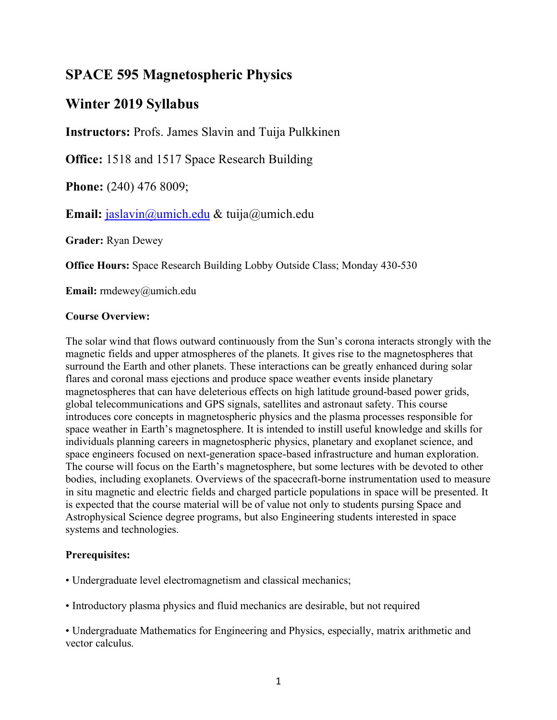# **SPACE 595 Magnetospheric Physics**

# **Winter 2019 Syllabus**

**Instructors:** Profs. James Slavin and Tuija Pulkkinen

**Office:** 1518 and 1517 Space Research Building

**Phone:** (240) 476 8009;

**Email:** jaslavin@umich.edu & tuija@umich.edu

**Grader:** Ryan Dewey

**Office Hours:** Space Research Building Lobby Outside Class; Monday 430-530

**Email:** rmdewey@umich.edu

## **Course Overview:**

The solar wind that flows outward continuously from the Sun's corona interacts strongly with the magnetic fields and upper atmospheres of the planets. It gives rise to the magnetospheres that surround the Earth and other planets. These interactions can be greatly enhanced during solar flares and coronal mass ejections and produce space weather events inside planetary magnetospheres that can have deleterious effects on high latitude ground-based power grids, global telecommunications and GPS signals, satellites and astronaut safety. This course introduces core concepts in magnetospheric physics and the plasma processes responsible for space weather in Earth's magnetosphere. It is intended to instill useful knowledge and skills for individuals planning careers in magnetospheric physics, planetary and exoplanet science, and space engineers focused on next-generation space-based infrastructure and human exploration. The course will focus on the Earth's magnetosphere, but some lectures with be devoted to other bodies, including exoplanets. Overviews of the spacecraft-borne instrumentation used to measure in situ magnetic and electric fields and charged particle populations in space will be presented. It is expected that the course material will be of value not only to students pursing Space and Astrophysical Science degree programs, but also Engineering students interested in space systems and technologies.

## **Prerequisites:**

• Undergraduate level electromagnetism and classical mechanics;

• Introductory plasma physics and fluid mechanics are desirable, but not required

• Undergraduate Mathematics for Engineering and Physics, especially, matrix arithmetic and vector calculus.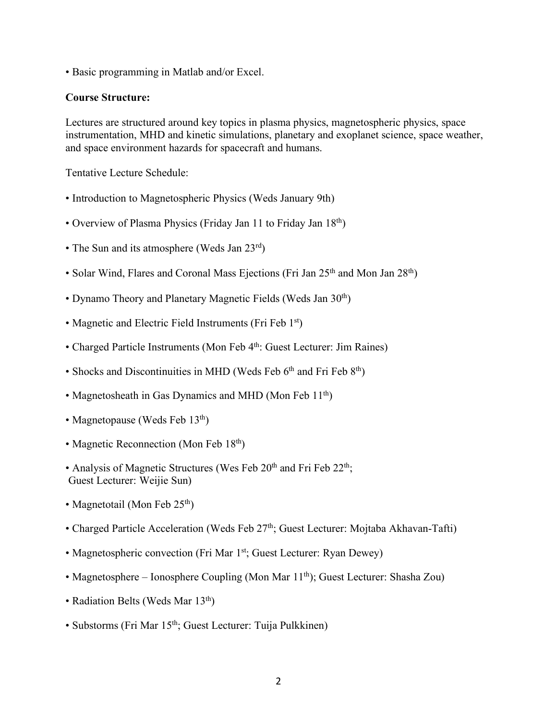• Basic programming in Matlab and/or Excel.

#### **Course Structure:**

Lectures are structured around key topics in plasma physics, magnetospheric physics, space instrumentation, MHD and kinetic simulations, planetary and exoplanet science, space weather, and space environment hazards for spacecraft and humans.

Tentative Lecture Schedule:

- Introduction to Magnetospheric Physics (Weds January 9th)
- Overview of Plasma Physics (Friday Jan 11 to Friday Jan 18<sup>th</sup>)
- The Sun and its atmosphere (Weds Jan 23rd)
- Solar Wind, Flares and Coronal Mass Ejections (Fri Jan 25<sup>th</sup> and Mon Jan 28<sup>th</sup>)
- Dynamo Theory and Planetary Magnetic Fields (Weds Jan 30<sup>th</sup>)
- Magnetic and Electric Field Instruments (Fri Feb 1<sup>st</sup>)
- Charged Particle Instruments (Mon Feb 4<sup>th</sup>: Guest Lecturer: Jim Raines)
- Shocks and Discontinuities in MHD (Weds Feb  $6<sup>th</sup>$  and Fri Feb  $8<sup>th</sup>$ )
- Magnetosheath in Gas Dynamics and MHD (Mon Feb 11<sup>th</sup>)
- Magnetopause (Weds Feb  $13<sup>th</sup>$ )
- Magnetic Reconnection (Mon Feb 18<sup>th</sup>)
- Analysis of Magnetic Structures (Wes Feb  $20<sup>th</sup>$  and Fri Feb  $22<sup>th</sup>$ ; Guest Lecturer: Weijie Sun)
- Magnetotail (Mon Feb  $25<sup>th</sup>$ )
- Charged Particle Acceleration (Weds Feb 27<sup>th</sup>; Guest Lecturer: Mojtaba Akhavan-Tafti)
- Magnetospheric convection (Fri Mar 1<sup>st</sup>; Guest Lecturer: Ryan Dewey)
- Magnetosphere Ionosphere Coupling (Mon Mar  $11<sup>th</sup>$ ); Guest Lecturer: Shasha Zou)
- Radiation Belts (Weds Mar  $13<sup>th</sup>$ )
- Substorms (Fri Mar 15<sup>th</sup>; Guest Lecturer: Tuija Pulkkinen)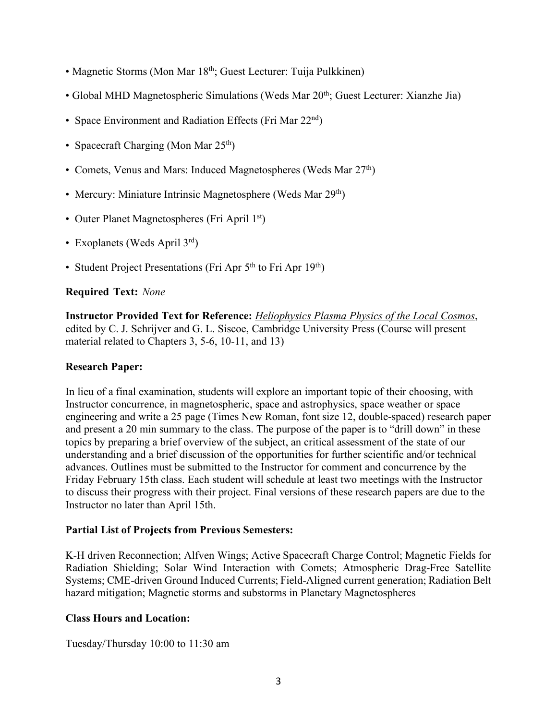- Magnetic Storms (Mon Mar 18<sup>th</sup>; Guest Lecturer: Tuija Pulkkinen)
- Global MHD Magnetospheric Simulations (Weds Mar 20<sup>th</sup>; Guest Lecturer: Xianzhe Jia)
- Space Environment and Radiation Effects (Fri Mar 22<sup>nd</sup>)
- Spacecraft Charging (Mon Mar  $25<sup>th</sup>$ )
- Comets, Venus and Mars: Induced Magnetospheres (Weds Mar 27<sup>th</sup>)
- Mercury: Miniature Intrinsic Magnetosphere (Weds Mar 29<sup>th</sup>)
- Outer Planet Magnetospheres (Fri April 1<sup>st</sup>)
- Exoplanets (Weds April 3<sup>rd</sup>)
- Student Project Presentations (Fri Apr  $5<sup>th</sup>$  to Fri Apr  $19<sup>th</sup>$ )

### **Required Text:** *None*

**Instructor Provided Text for Reference:** *Heliophysics Plasma Physics of the Local Cosmos*, edited by C. J. Schrijver and G. L. Siscoe, Cambridge University Press (Course will present material related to Chapters 3, 5-6, 10-11, and 13)

### **Research Paper:**

In lieu of a final examination, students will explore an important topic of their choosing, with Instructor concurrence, in magnetospheric, space and astrophysics, space weather or space engineering and write a 25 page (Times New Roman, font size 12, double-spaced) research paper and present a 20 min summary to the class. The purpose of the paper is to "drill down" in these topics by preparing a brief overview of the subject, an critical assessment of the state of our understanding and a brief discussion of the opportunities for further scientific and/or technical advances. Outlines must be submitted to the Instructor for comment and concurrence by the Friday February 15th class. Each student will schedule at least two meetings with the Instructor to discuss their progress with their project. Final versions of these research papers are due to the Instructor no later than April 15th.

### **Partial List of Projects from Previous Semesters:**

K-H driven Reconnection; Alfven Wings; Active Spacecraft Charge Control; Magnetic Fields for Radiation Shielding; Solar Wind Interaction with Comets; Atmospheric Drag-Free Satellite Systems; CME-driven Ground Induced Currents; Field-Aligned current generation; Radiation Belt hazard mitigation; Magnetic storms and substorms in Planetary Magnetospheres

### **Class Hours and Location:**

Tuesday/Thursday 10:00 to 11:30 am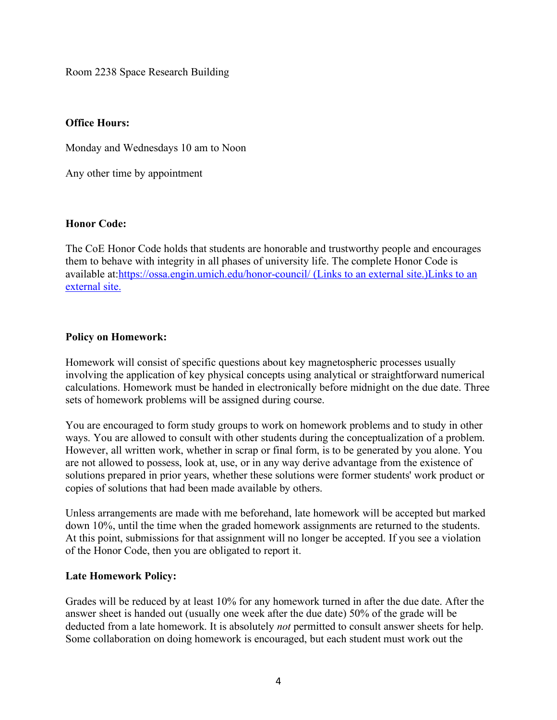Room 2238 Space Research Building

#### **Office Hours:**

Monday and Wednesdays 10 am to Noon

Any other time by appointment

#### **Honor Code:**

The CoE Honor Code holds that students are honorable and trustworthy people and encourages them to behave with integrity in all phases of university life. The complete Honor Code is available at:https://ossa.engin.umich.edu/honor-council/ (Links to an external site.)Links to an external site.

#### **Policy on Homework:**

Homework will consist of specific questions about key magnetospheric processes usually involving the application of key physical concepts using analytical or straightforward numerical calculations. Homework must be handed in electronically before midnight on the due date. Three sets of homework problems will be assigned during course.

You are encouraged to form study groups to work on homework problems and to study in other ways. You are allowed to consult with other students during the conceptualization of a problem. However, all written work, whether in scrap or final form, is to be generated by you alone. You are not allowed to possess, look at, use, or in any way derive advantage from the existence of solutions prepared in prior years, whether these solutions were former students' work product or copies of solutions that had been made available by others.

Unless arrangements are made with me beforehand, late homework will be accepted but marked down 10%, until the time when the graded homework assignments are returned to the students. At this point, submissions for that assignment will no longer be accepted. If you see a violation of the Honor Code, then you are obligated to report it.

#### **Late Homework Policy:**

Grades will be reduced by at least 10% for any homework turned in after the due date. After the answer sheet is handed out (usually one week after the due date) 50% of the grade will be deducted from a late homework. It is absolutely *not* permitted to consult answer sheets for help. Some collaboration on doing homework is encouraged, but each student must work out the